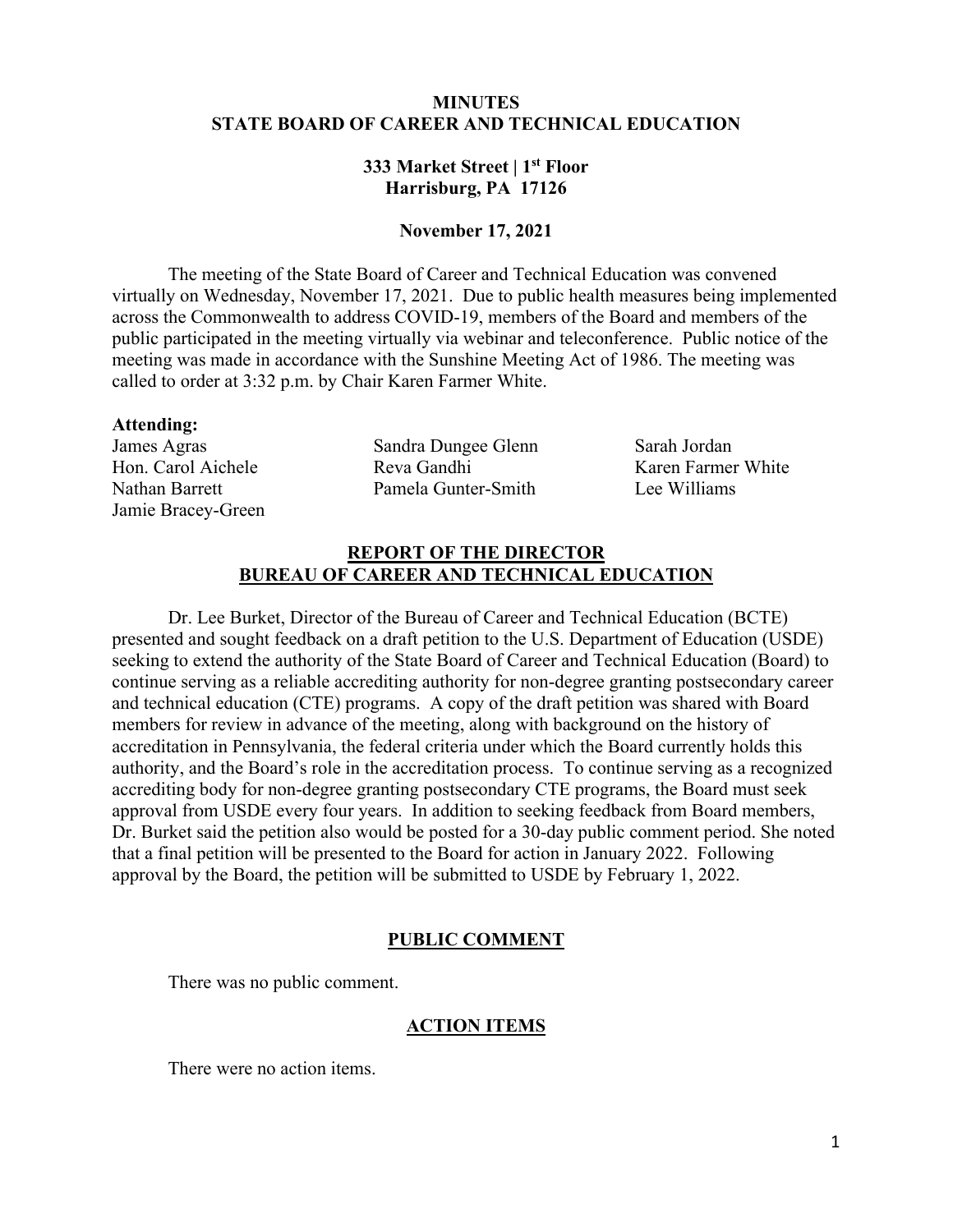## **MINUTES STATE BOARD OF CAREER AND TECHNICAL EDUCATION**

## **333 Market Street | 1st Floor Harrisburg, PA 17126**

#### **November 17, 2021**

 The meeting of the State Board of Career and Technical Education was convened public participated in the meeting virtually via webinar and teleconference. Public notice of the called to order at 3:32 p.m. by Chair Karen Farmer White. virtually on Wednesday, November 17, 2021. Due to public health measures being implemented across the Commonwealth to address COVID-19, members of the Board and members of the meeting was made in accordance with the Sunshine Meeting Act of 1986. The meeting was

#### **Attending:**

Jamie Bracey-Green

James Agras Sandra Dungee Glenn Sarah Jordan Hon. Carol Aichele Reva Gandhi Karen Farmer White Nathan Barrett Pamela Gunter-Smith Lee Williams

### **REPORT OF THE DIRECTOR BUREAU OF CAREER AND TECHNICAL EDUCATION**

 presented and sought feedback on a draft petition to the U.S. Department of Education (USDE) seeking to extend the authority of the State Board of Career and Technical Education (Board) to and technical education (CTE) programs. A copy of the draft petition was shared with Board authority, and the Board's role in the accreditation process. To continue serving as a recognized Dr. Burket said the petition also would be posted for a 30-day public comment period. She noted Dr. Lee Burket, Director of the Bureau of Career and Technical Education (BCTE) continue serving as a reliable accrediting authority for non-degree granting postsecondary career members for review in advance of the meeting, along with background on the history of accreditation in Pennsylvania, the federal criteria under which the Board currently holds this accrediting body for non-degree granting postsecondary CTE programs, the Board must seek approval from USDE every four years. In addition to seeking feedback from Board members, that a final petition will be presented to the Board for action in January 2022. Following approval by the Board, the petition will be submitted to USDE by February 1, 2022.

#### **PUBLIC COMMENT**

There was no public comment.

#### **ACTION ITEMS**

There were no action items.